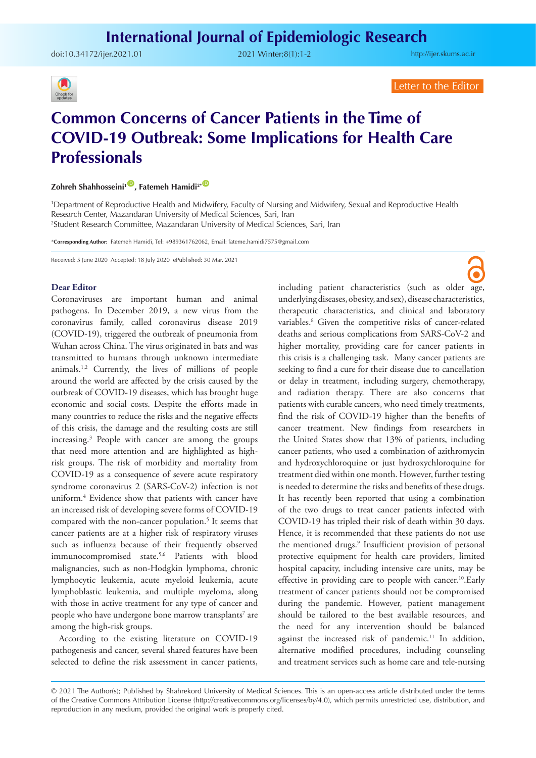doi:[10.34172/ijer.2021.01](https://doi.org/10.34172/ijer.2021.01) 2021 Winter;8(1):1-2

<http://ijer.skums.ac.ir>



Letter to the Editor

# **Common Concerns of Cancer Patients in the Time of COVID-19 Outbreak: Some Implications for Health Care Professionals**

**Zohreh Shahhosseini<sup>1</sup><sup>(D</sup>, Fatemeh Hamidi<sup>2\*</sup><sup>(D</sup>)** 

1 Department of Reproductive Health and Midwifery, Faculty of Nursing and Midwifery, Sexual and Reproductive Health Research Center, Mazandaran University of Medical Sciences, Sari, Iran 2 Student Research Committee, Mazandaran University of Medical Sciences, Sari, Iran

\***Corresponding Author:** Fatemeh Hamidi, Tel: +989361762062, Email: fateme.hamidi7575@gmail.com

Received: 5 June 2020 Accepted: 18 July 2020 ePublished: 30 Mar. 2021

#### **Dear Editor**

Coronaviruses are important human and animal pathogens. In December 2019, a new virus from the coronavirus family, called coronavirus disease 2019 (COVID-19), triggered the outbreak of pneumonia from Wuhan across China. The virus originated in bats and was transmitted to humans through unknown intermediate animals.1,2 Currently, the lives of millions of people around the world are affected by the crisis caused by the outbreak of COVID-19 diseases, which has brought huge economic and social costs. Despite the efforts made in many countries to reduce the risks and the negative effects of this crisis, the damage and the resulting costs are still increasing.3 People with cancer are among the groups that need more attention and are highlighted as highrisk groups. The risk of morbidity and mortality from COVID-19 as a consequence of severe acute respiratory syndrome coronavirus 2 (SARS-CoV-2) infection is not uniform.4 Evidence show that patients with cancer have an increased risk of developing severe forms of COVID-19 compared with the non-cancer population.<sup>5</sup> It seems that cancer patients are at a higher risk of respiratory viruses such as influenza because of their frequently observed immunocompromised state.<sup>5,6</sup> Patients with blood malignancies, such as non-Hodgkin lymphoma, chronic lymphocytic leukemia, acute myeloid leukemia, acute lymphoblastic leukemia, and multiple myeloma, along with those in active treatment for any type of cancer and people who have undergone bone marrow transplants<sup>7</sup> are among the high-risk groups.

According to the existing literature on COVID-19 pathogenesis and cancer, several shared features have been selected to define the risk assessment in cancer patients,

including patient characteristics (such as older age, underlying diseases, obesity, and sex), disease characteristics, therapeutic characteristics, and clinical and laboratory variables.8 Given the competitive risks of cancer-related deaths and serious complications from SARS-CoV-2 and higher mortality, providing care for cancer patients in this crisis is a challenging task. Many cancer patients are seeking to find a cure for their disease due to cancellation or delay in treatment, including surgery, chemotherapy, and radiation therapy. There are also concerns that patients with curable cancers, who need timely treatments, find the risk of COVID-19 higher than the benefits of cancer treatment. New findings from researchers in the United States show that 13% of patients, including cancer patients, who used a combination of azithromycin and hydroxychloroquine or just hydroxychloroquine for treatment died within one month. However, further testing is needed to determine the risks and benefits of these drugs. It has recently been reported that using a combination of the two drugs to treat cancer patients infected with COVID-19 has tripled their risk of death within 30 days. Hence, it is recommended that these patients do not use the mentioned drugs.<sup>9</sup> Insufficient provision of personal protective equipment for health care providers, limited hospital capacity, including intensive care units, may be effective in providing care to people with cancer.<sup>10</sup>.Early treatment of cancer patients should not be compromised during the pandemic. However, patient management should be tailored to the best available resources, and the need for any intervention should be balanced against the increased risk of pandemic.<sup>11</sup> In addition, alternative modified procedures, including counseling and treatment services such as home care and tele-nursing

<sup>© 2021</sup> The Author(s); Published by Shahrekord University of Medical Sciences. This is an open-access article distributed under the terms of the Creative Commons Attribution License (http://creativecommons.org/licenses/by/4.0), which permits unrestricted use, distribution, and reproduction in any medium, provided the original work is properly cited.